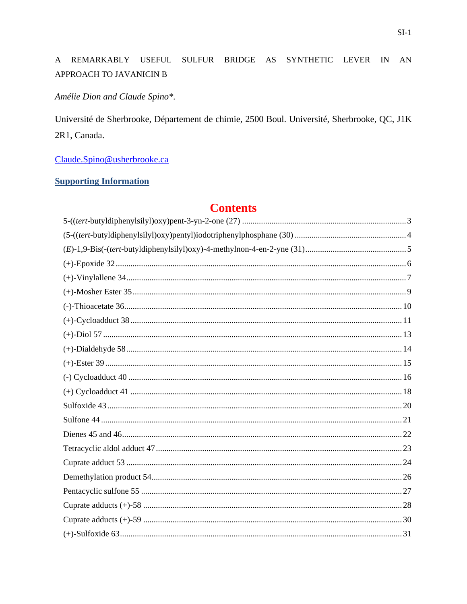#### A REMARKABLY USEFUL SULFUR BRIDGE AS SYNTHETIC LEVER IN AN APPROACH TO JAVANICIN B

## Amélie Dion and Claude Spino\*.

Université de Sherbrooke, Département de chimie, 2500 Boul. Université, Sherbrooke, QC, J1K 2R1, Canada.

## Claude.Spino@usherbrooke.ca

## **Supporting Information**

## **Contents**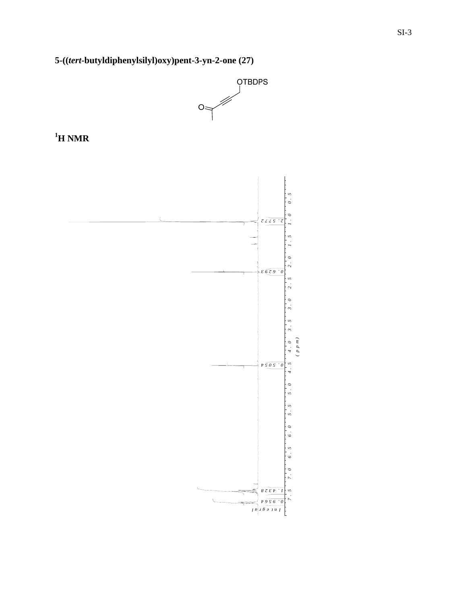





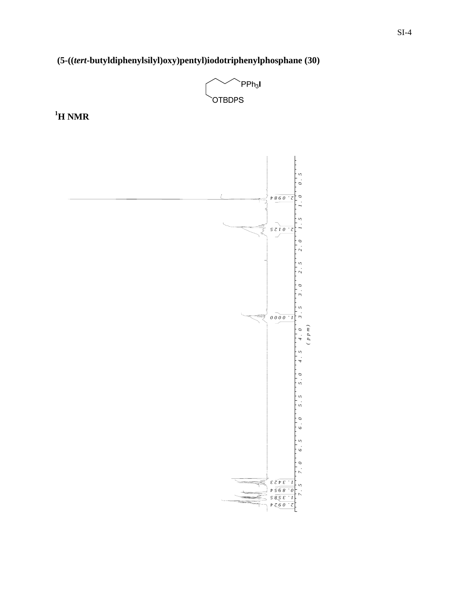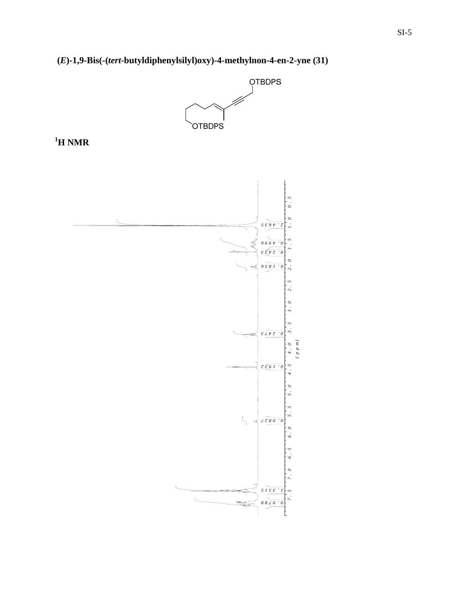**(***E***)-1,9-Bis(-(***tert***-butyldiphenylsilyl)oxy)-4-methylnon-4-en-2-yne (31)** 

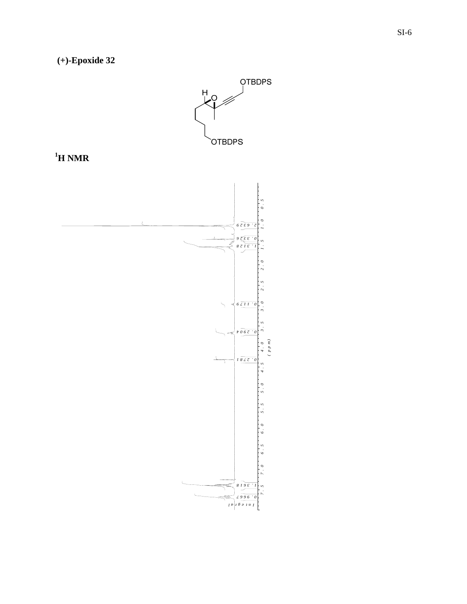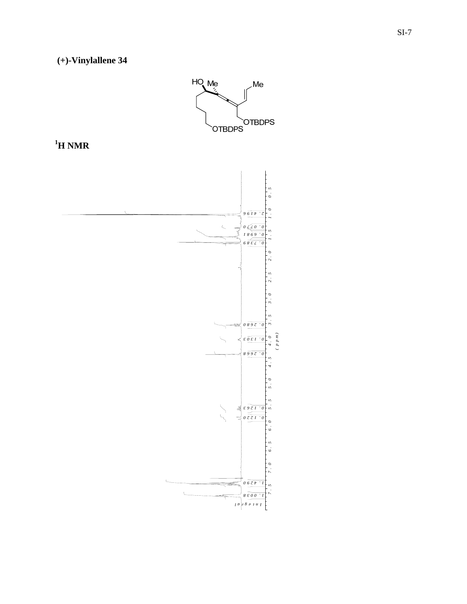**(+)-Vinylallene 34 1**  $HQ$ <sub>Me</sub> Me. U<br>
OTBDPS<br>
OTBDPS **H NMR** *0. 5 2. 4196 1. 0*  $\zeta$ *0. 0770 1. 5 0. 6981 0. 7389 2. 0 2. 5 3. 0 3. 5 0. 2680*  $\epsilon \overline{0 \epsilon I}$  <sup>7</sup> *( p p m) 4. 0 0. 2668 4. 5 5. 0 5. 5*  $\searrow$ *0. 1263 0. 1220 6. 0 6. 5 7. 0 1. 4290 7. 51. 0038*

*I nt egral*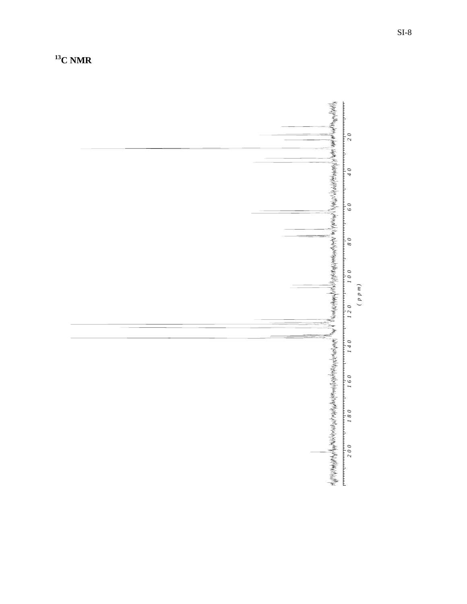

**13C NMR**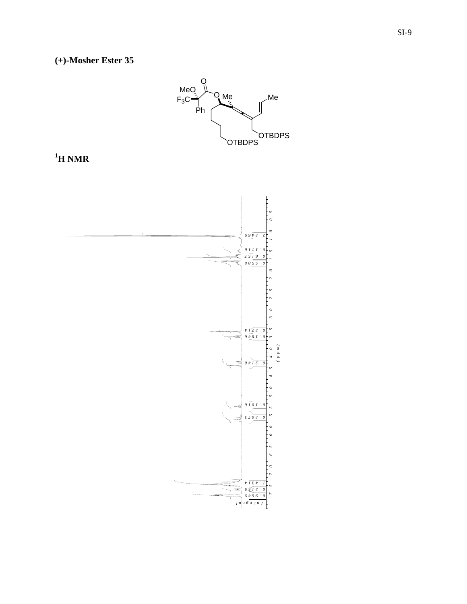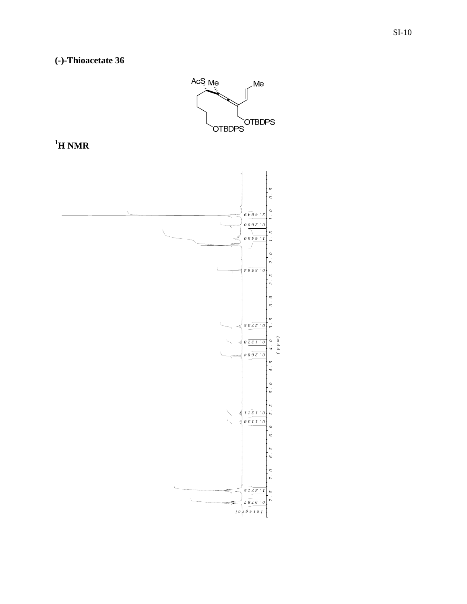**(-)-Thioacetate 36 1**

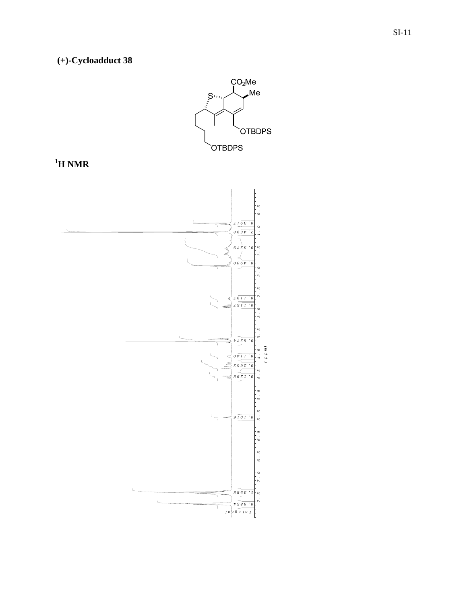**(+)-Cycloadduct 38**

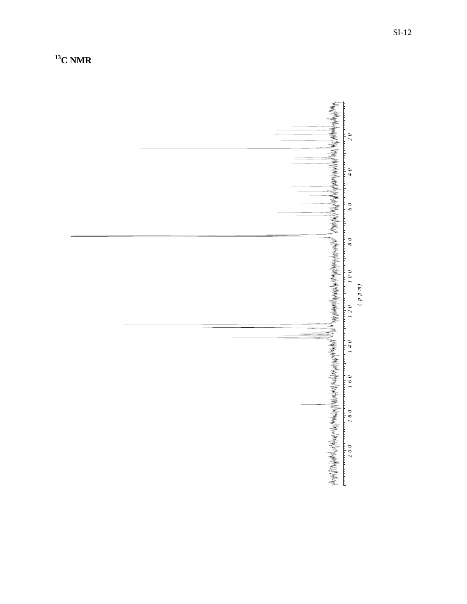

**13C NMR**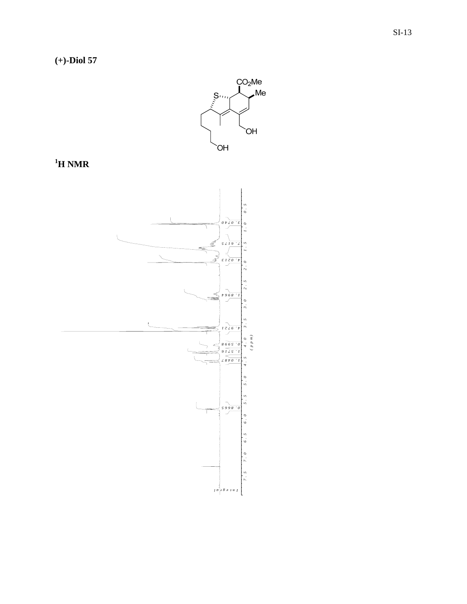**(+)-Diol 57**



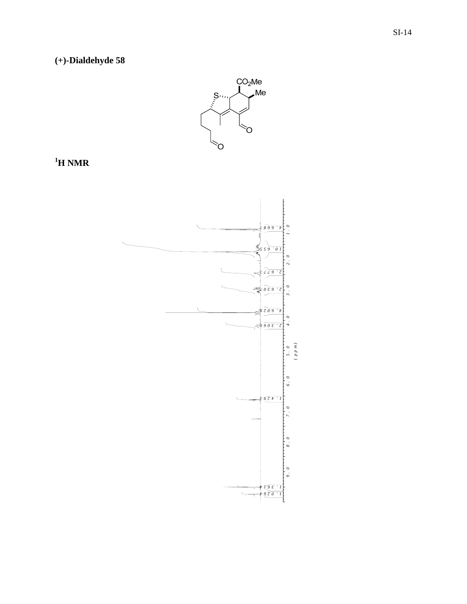**(+)-Dialdehyde 58**



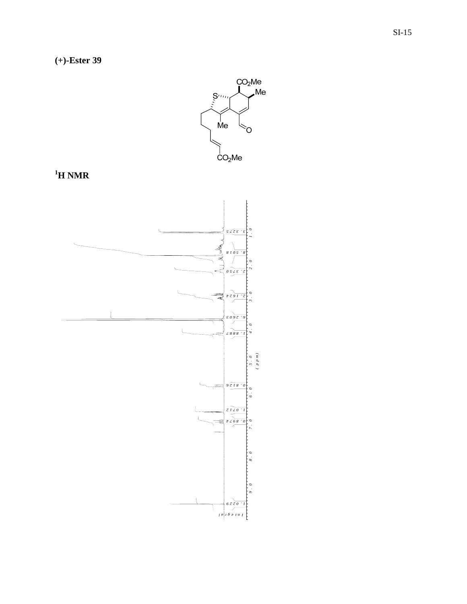**(+)-Ester 39**



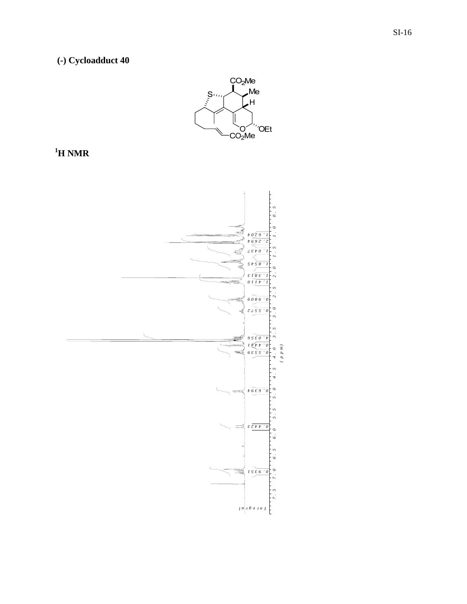**(-) Cycloadduct 40**



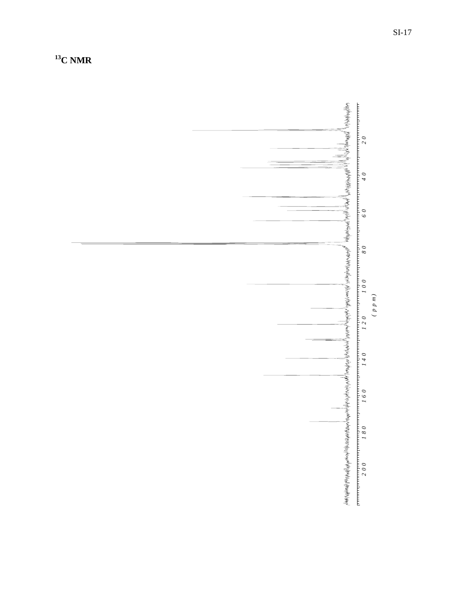

**13C NMR**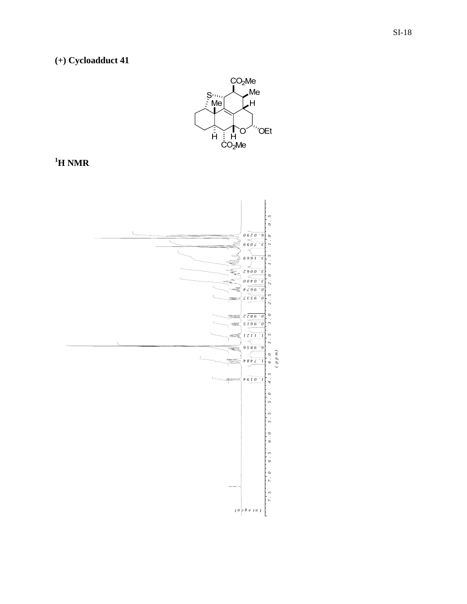**(+) Cycloadduct 41**



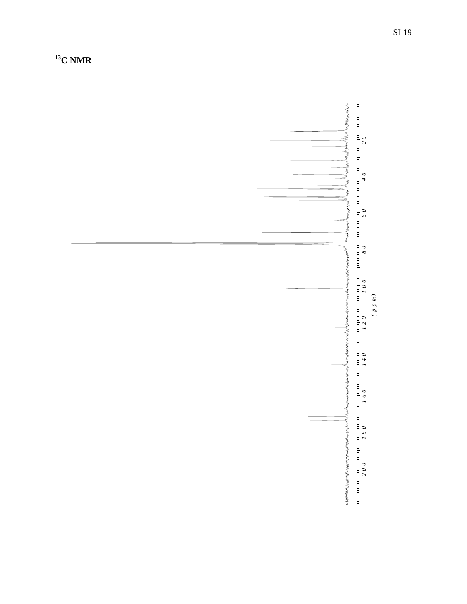

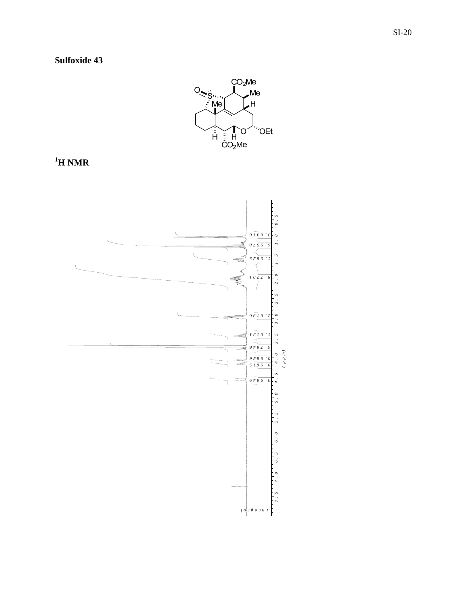**Sulfoxide 43**



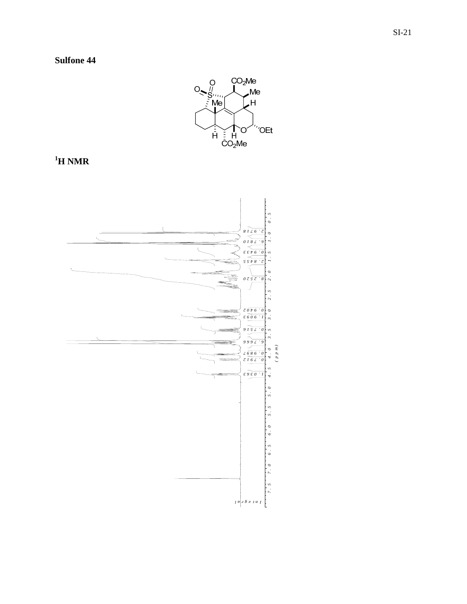

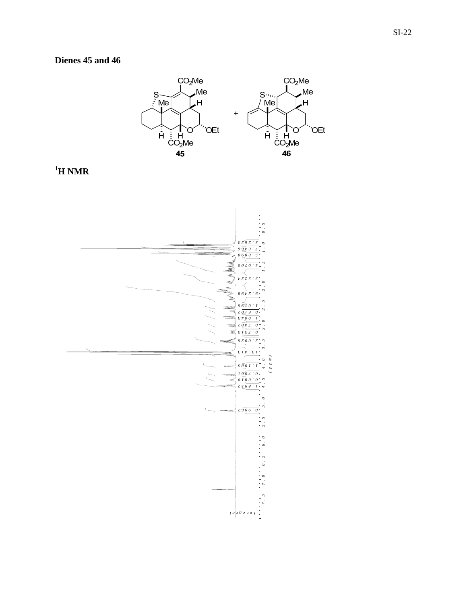## **Dienes 45 and 46**





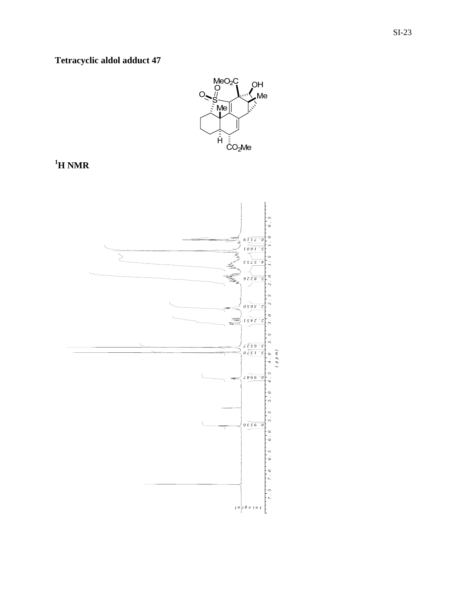**Tetracyclic aldol adduct 47**





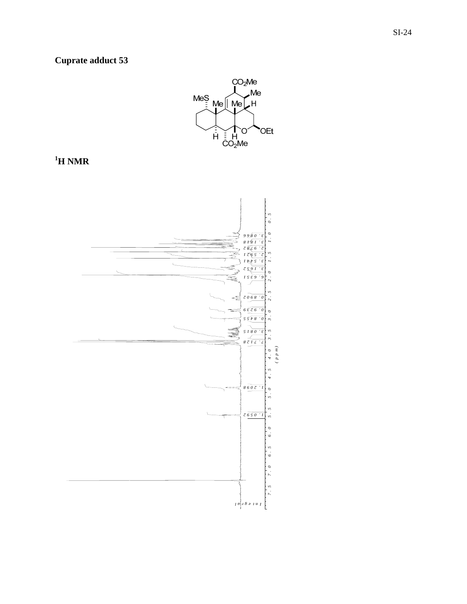

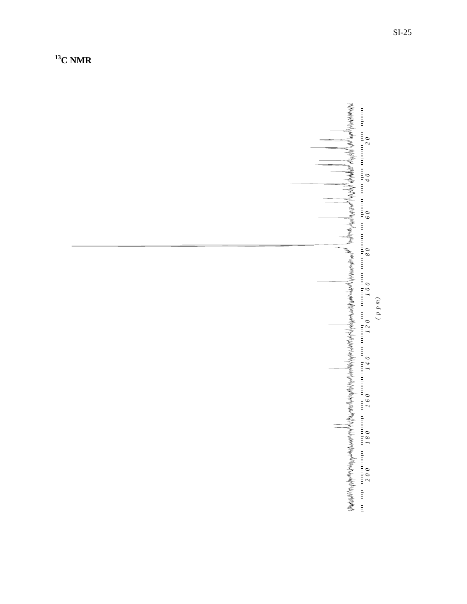**13C NMR** 

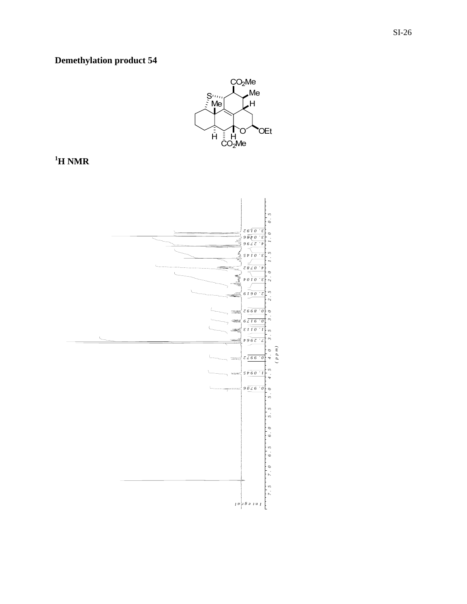# **Demethylation product 54**



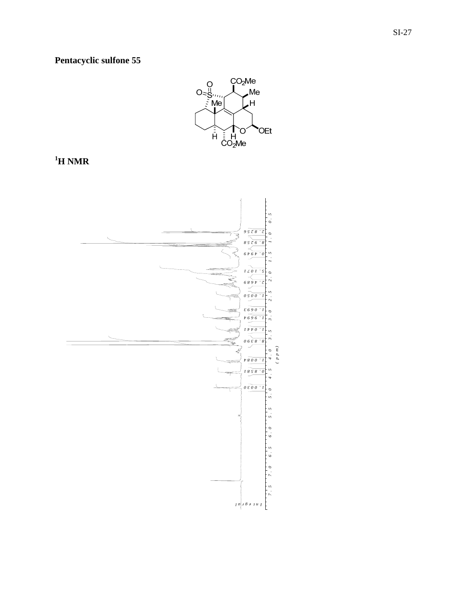**Pentacyclic sulfone 55**



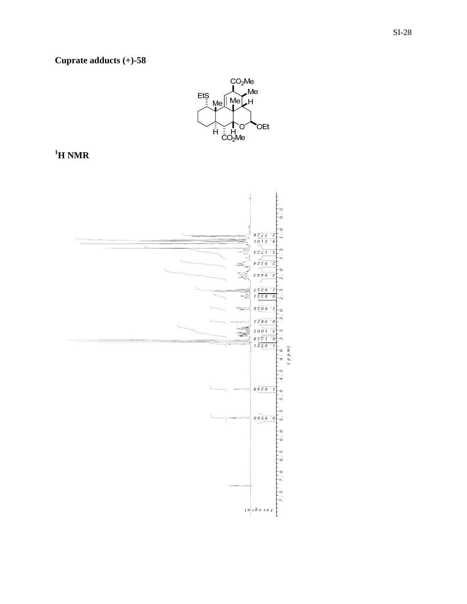**Cuprate adducts (+)-58**



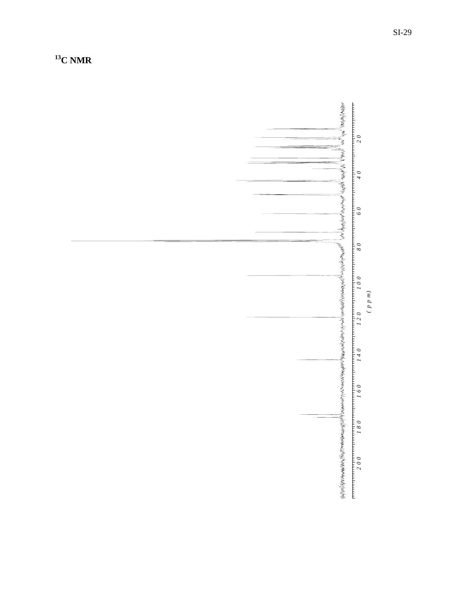**13C NMR** 

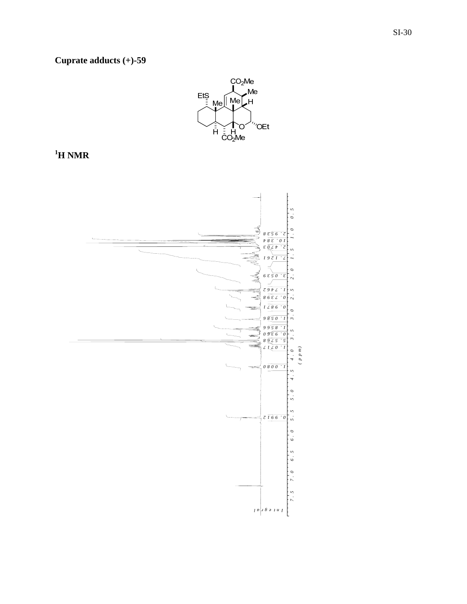**Cuprate adducts (+)-59**



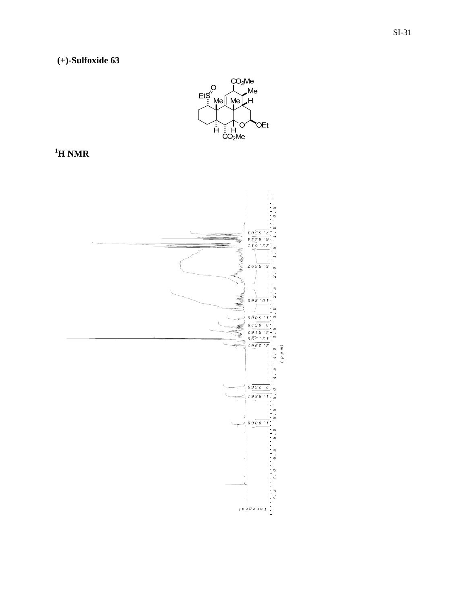

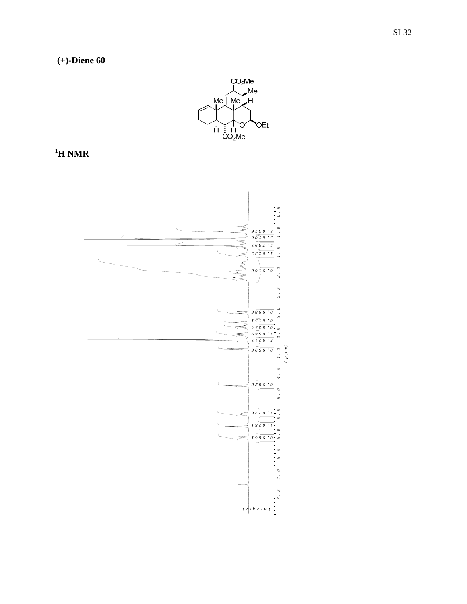

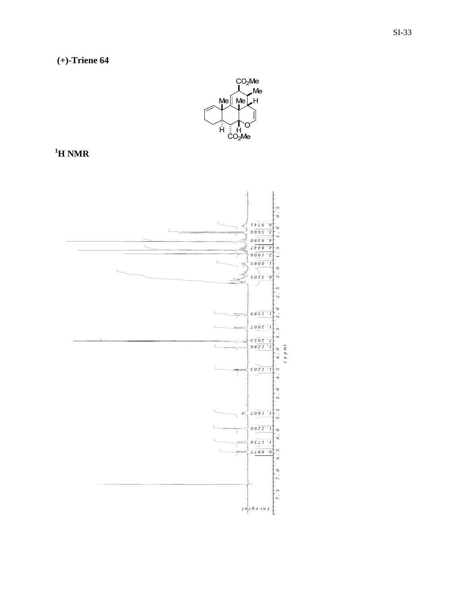

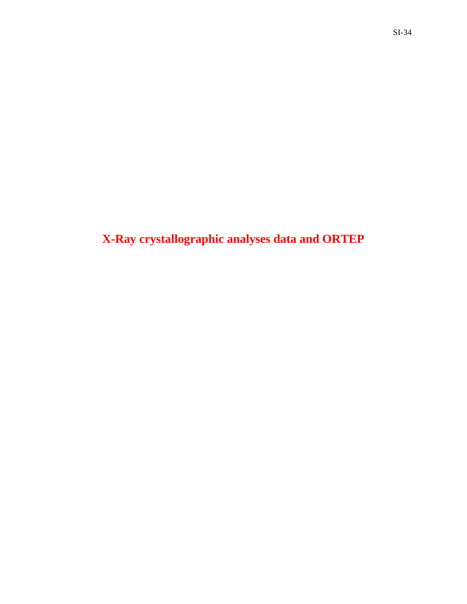**X-Ray crystallographic analyses data and ORTEP**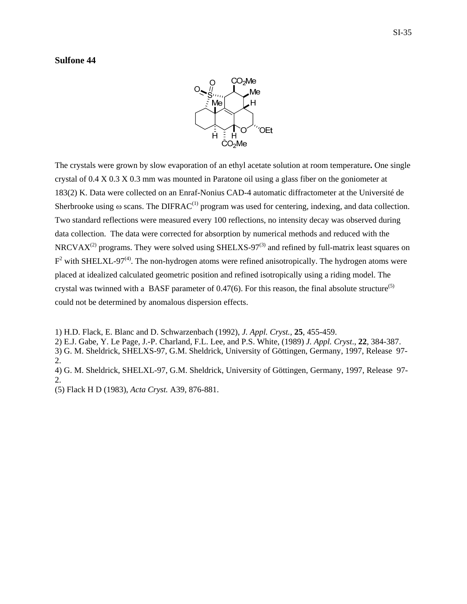### **Sulfone 44**



The crystals were grown by slow evaporation of an ethyl acetate solution at room temperature**.** One single crystal of 0.4 X 0.3 X 0.3 mm was mounted in Paratone oil using a glass fiber on the goniometer at 183(2) K. Data were collected on an Enraf-Nonius CAD-4 automatic diffractometer at the Université de Sherbrooke using  $\omega$  scans. The DIFRAC<sup>(1)</sup> program was used for centering, indexing, and data collection. Two standard reflections were measured every 100 reflections, no intensity decay was observed during data collection. The data were corrected for absorption by numerical methods and reduced with the NRCVAX<sup>(2)</sup> programs. They were solved using SHELXS-97<sup>(3)</sup> and refined by full-matrix least squares on  $F^2$  with SHELXL-97<sup>(4)</sup>. The non-hydrogen atoms were refined anisotropically. The hydrogen atoms were placed at idealized calculated geometric position and refined isotropically using a riding model. The crystal was twinned with a BASF parameter of  $0.47(6)$ . For this reason, the final absolute structure<sup>(5)</sup> could not be determined by anomalous dispersion effects.

1) H.D. Flack, E. Blanc and D. Schwarzenbach (1992), *J. Appl. Cryst.*, **25**, 455-459.

2) E.J. Gabe, Y. Le Page, J.-P. Charland, F.L. Lee, and P.S. White, (1989) *J. Appl. Cryst*., **22**, 384-387.

3) G. M. Sheldrick, SHELXS-97, G.M. Sheldrick, University of Göttingen, Germany, 1997, Release 97- 2.

4) G. M. Sheldrick, SHELXL-97, G.M. Sheldrick, University of Göttingen, Germany, 1997, Release 97-  $2^{\circ}$ 

(5) Flack H D (1983), *Acta Cryst.* A39, 876-881.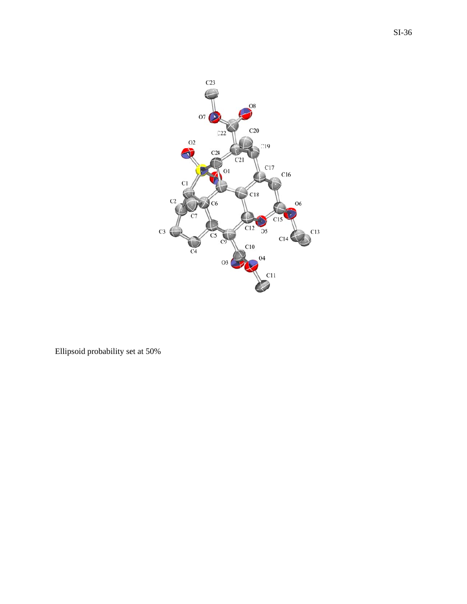

Ellipsoid probability set at 50%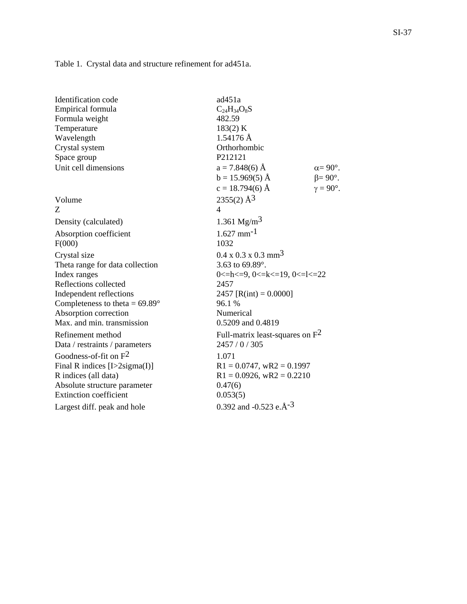Table 1. Crystal data and structure refinement for ad451a.

| Identification code<br>Empirical formula<br>Formula weight<br>Temperature<br>Wavelength                                                            | ad451a<br>$C_{24}H_{34}O_8S$<br>482.59<br>183(2) K<br>$1.54176 \text{ Å}$                                                                             |                       |
|----------------------------------------------------------------------------------------------------------------------------------------------------|-------------------------------------------------------------------------------------------------------------------------------------------------------|-----------------------|
| Crystal system                                                                                                                                     | Orthorhombic                                                                                                                                          |                       |
| Space group<br>Unit cell dimensions                                                                                                                | P212121<br>$a = 7.848(6)$ Å                                                                                                                           | $\alpha = 90^\circ$ . |
|                                                                                                                                                    | $b = 15.969(5)$ Å                                                                                                                                     | $\beta = 90^\circ$ .  |
|                                                                                                                                                    | $c = 18.794(6)$ Å                                                                                                                                     | $\gamma = 90^\circ$ . |
| Volume<br>Z                                                                                                                                        | $2355(2)$ Å <sup>3</sup><br>4                                                                                                                         |                       |
| Density (calculated)                                                                                                                               | 1.361 $Mg/m3$                                                                                                                                         |                       |
| Absorption coefficient<br>F(000)                                                                                                                   | $1.627$ mm <sup>-1</sup><br>1032                                                                                                                      |                       |
| Crystal size<br>Theta range for data collection<br>Index ranges<br>Reflections collected                                                           | $0.4 \times 0.3 \times 0.3$ mm <sup>3</sup><br>3.63 to $69.89^{\circ}$ .<br>0 <= h < $\leq$ 9, 0 < $\leq$ k $\leq$ 19, 0 < $\leq$ k $\leq$ 22<br>2457 |                       |
| Independent reflections<br>Completeness to theta = $69.89^\circ$<br>Absorption correction<br>Max. and min. transmission                            | 2457 [R(int) = $0.0000$ ]<br>96.1 %<br>Numerical<br>0.5209 and 0.4819                                                                                 |                       |
| Refinement method<br>Data / restraints / parameters                                                                                                | Full-matrix least-squares on $F^2$<br>2457/0/305                                                                                                      |                       |
| Goodness-of-fit on $F^2$<br>Final R indices [I>2sigma(I)]<br>R indices (all data)<br>Absolute structure parameter<br><b>Extinction coefficient</b> | 1.071<br>$R1 = 0.0747$ , wR2 = 0.1997<br>$R1 = 0.0926$ , wR2 = 0.2210<br>0.47(6)<br>0.053(5)<br>0.392 and -0.523 e. $\AA$ <sup>-3</sup>               |                       |
| Largest diff. peak and hole                                                                                                                        |                                                                                                                                                       |                       |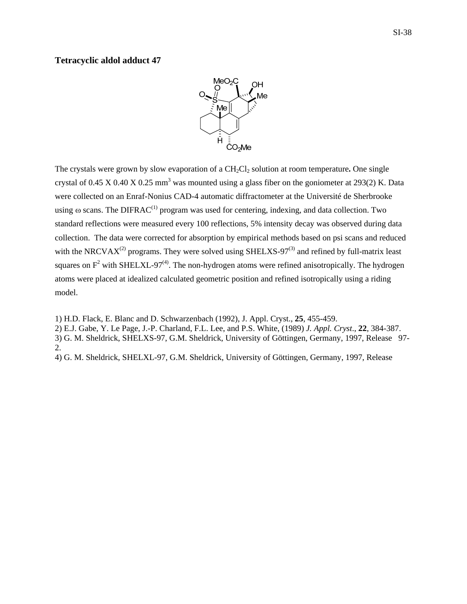### **Tetracyclic aldol adduct 47**



The crystals were grown by slow evaporation of a CH<sub>2</sub>Cl<sub>2</sub> solution at room temperature. One single crystal of 0.45 X 0.40 X 0.25 mm<sup>3</sup> was mounted using a glass fiber on the goniometer at 293(2) K. Data were collected on an Enraf-Nonius CAD-4 automatic diffractometer at the Université de Sherbrooke using  $\omega$  scans. The DIFRAC<sup>(1)</sup> program was used for centering, indexing, and data collection. Two standard reflections were measured every 100 reflections, 5% intensity decay was observed during data collection. The data were corrected for absorption by empirical methods based on psi scans and reduced with the NRCVAX<sup>(2)</sup> programs. They were solved using SHELXS-97<sup>(3)</sup> and refined by full-matrix least squares on  $F^2$  with SHELXL-97<sup>(4)</sup>. The non-hydrogen atoms were refined anisotropically. The hydrogen atoms were placed at idealized calculated geometric position and refined isotropically using a riding model.

1) H.D. Flack, E. Blanc and D. Schwarzenbach (1992), J. Appl. Cryst., **25**, 455-459.

2) E.J. Gabe, Y. Le Page, J.-P. Charland, F.L. Lee, and P.S. White, (1989) *J. Appl. Cryst*., **22**, 384-387.

3) G. M. Sheldrick, SHELXS-97, G.M. Sheldrick, University of Göttingen, Germany, 1997, Release 97- 2.

4) G. M. Sheldrick, SHELXL-97, G.M. Sheldrick, University of Göttingen, Germany, 1997, Release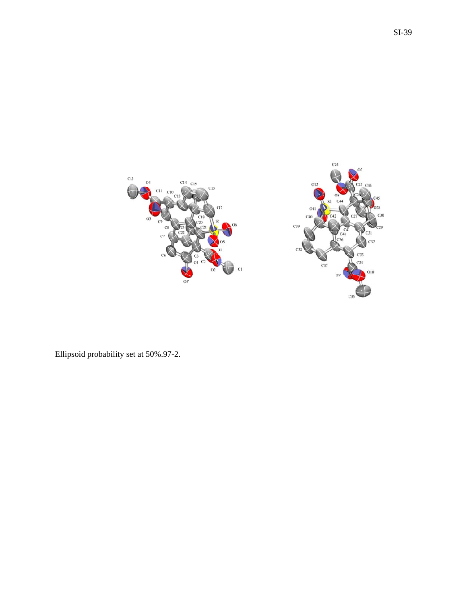

Ellipsoid probability set at 50%.97-2.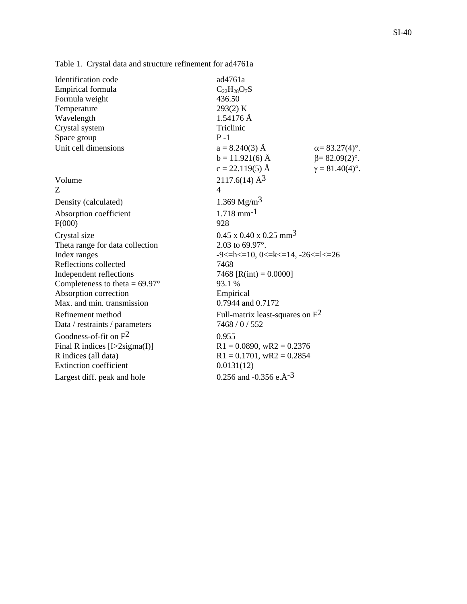| Identification code<br>Empirical formula<br>Formula weight<br>Temperature<br>Wavelength<br>Crystal system<br>Space group<br>Unit cell dimensions | ad4761a<br>$C_{22}H_{28}O_7S$<br>436.50<br>293(2) K<br>$1.54176 \text{ Å}$<br>Triclinic<br>$P-1$<br>$a = 8.240(3)$ Å<br>$\alpha = 83.27(4)$ °.<br>$b = 11.921(6)$ Å<br>$\beta = 82.09(2)$ °.<br>$c = 22.119(5)$ Å<br>$\gamma = 81.40(4)$ °. |
|--------------------------------------------------------------------------------------------------------------------------------------------------|---------------------------------------------------------------------------------------------------------------------------------------------------------------------------------------------------------------------------------------------|
| Volume                                                                                                                                           | $2117.6(14)$ Å <sup>3</sup>                                                                                                                                                                                                                 |
| Ζ                                                                                                                                                | $\overline{4}$                                                                                                                                                                                                                              |
| Density (calculated)                                                                                                                             | 1.369 Mg/m <sup>3</sup>                                                                                                                                                                                                                     |
| Absorption coefficient                                                                                                                           | $1.718$ mm <sup>-1</sup>                                                                                                                                                                                                                    |
| F(000)                                                                                                                                           | 928                                                                                                                                                                                                                                         |
| Crystal size                                                                                                                                     | $0.45 \times 0.40 \times 0.25$ mm <sup>3</sup>                                                                                                                                                                                              |
| Theta range for data collection                                                                                                                  | 2.03 to 69.97°.                                                                                                                                                                                                                             |
| Index ranges                                                                                                                                     | $-9 < = h < 10$ , 0 $< k < 14$ , $-26 < k < 26$                                                                                                                                                                                             |
| Reflections collected                                                                                                                            | 7468                                                                                                                                                                                                                                        |
| Independent reflections                                                                                                                          | 7468 [R(int) = $0.0000$ ]                                                                                                                                                                                                                   |
| Completeness to theta = $69.97^{\circ}$                                                                                                          | 93.1 %                                                                                                                                                                                                                                      |
| Absorption correction                                                                                                                            | Empirical                                                                                                                                                                                                                                   |
| Max. and min. transmission                                                                                                                       | 0.7944 and 0.7172                                                                                                                                                                                                                           |
| Refinement method                                                                                                                                | Full-matrix least-squares on $F^2$                                                                                                                                                                                                          |
| Data / restraints / parameters                                                                                                                   | 7468 / 0 / 552                                                                                                                                                                                                                              |
| Goodness-of-fit on $F^2$                                                                                                                         | 0.955                                                                                                                                                                                                                                       |
| Final R indices [I>2sigma(I)]                                                                                                                    | $R1 = 0.0890$ , wR2 = 0.2376                                                                                                                                                                                                                |
| R indices (all data)                                                                                                                             | $R1 = 0.1701$ , wR2 = 0.2854                                                                                                                                                                                                                |
| <b>Extinction coefficient</b>                                                                                                                    | 0.0131(12)                                                                                                                                                                                                                                  |
| Largest diff. peak and hole                                                                                                                      | 0.256 and -0.356 e. $\AA$ <sup>-3</sup>                                                                                                                                                                                                     |

Table 1. Crystal data and structure refinement for ad4761a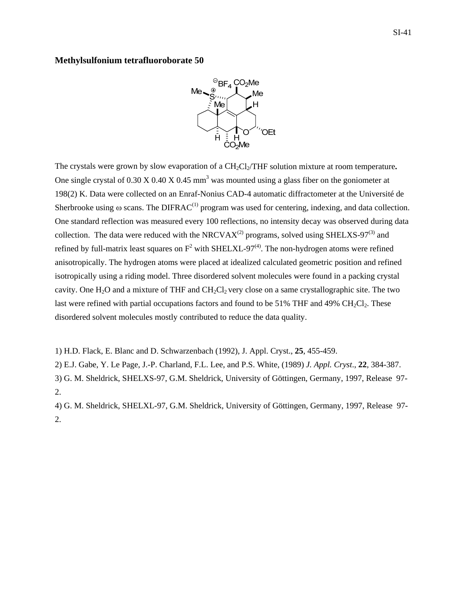### **Methylsulfonium tetrafluoroborate 50**



The crystals were grown by slow evaporation of a CH<sub>2</sub>Cl<sub>2</sub>/THF solution mixture at room temperature. One single crystal of  $0.30 \text{ X}$  0.40 X 0.45 mm<sup>3</sup> was mounted using a glass fiber on the goniometer at 198(2) K. Data were collected on an Enraf-Nonius CAD-4 automatic diffractometer at the Université de Sherbrooke using  $\omega$  scans. The DIFRAC<sup>(1)</sup> program was used for centering, indexing, and data collection. One standard reflection was measured every 100 reflections, no intensity decay was observed during data collection. The data were reduced with the NRCVAX<sup>(2)</sup> programs, solved using SHELXS-97<sup>(3)</sup> and refined by full-matrix least squares on  $F^2$  with SHELXL-97<sup>(4)</sup>. The non-hydrogen atoms were refined anisotropically. The hydrogen atoms were placed at idealized calculated geometric position and refined isotropically using a riding model. Three disordered solvent molecules were found in a packing crystal cavity. One  $H_2O$  and a mixture of THF and  $CH_2Cl_2$  very close on a same crystallographic site. The two last were refined with partial occupations factors and found to be  $51\%$  THF and 49% CH<sub>2</sub>Cl<sub>2</sub>. These disordered solvent molecules mostly contributed to reduce the data quality.

1) H.D. Flack, E. Blanc and D. Schwarzenbach (1992), J. Appl. Cryst., **25**, 455-459.

2) E.J. Gabe, Y. Le Page, J.-P. Charland, F.L. Lee, and P.S. White, (1989) *J. Appl. Cryst*., **22**, 384-387.

3) G. M. Sheldrick, SHELXS-97, G.M. Sheldrick, University of Göttingen, Germany, 1997, Release 97- 2.

4) G. M. Sheldrick, SHELXL-97, G.M. Sheldrick, University of Göttingen, Germany, 1997, Release 97- 2.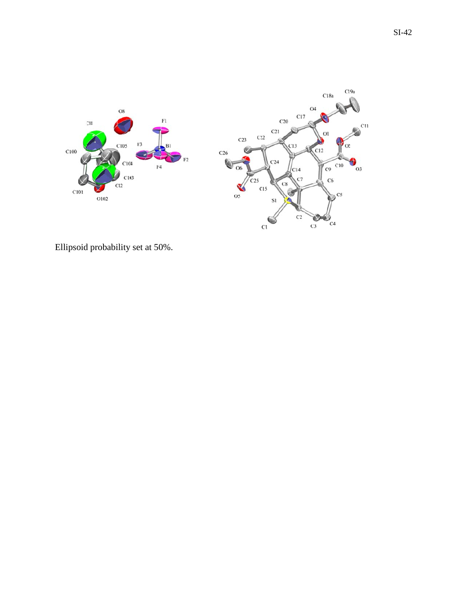

Ellipsoid probability set at 50%.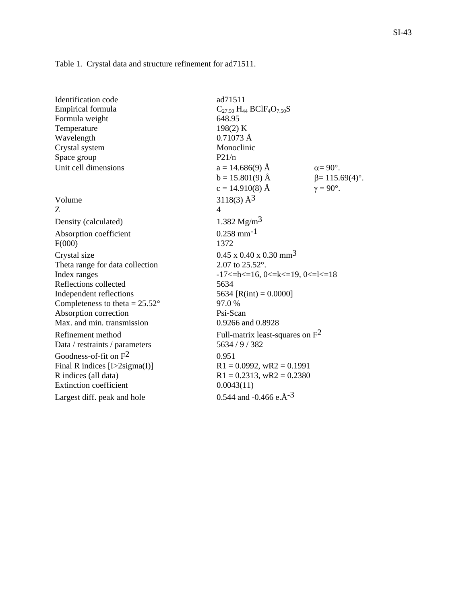Table 1. Crystal data and structure refinement for ad71511.

| Identification code<br>Empirical formula<br>Formula weight<br>Temperature<br>Wavelength<br>Crystal system<br>Space group<br>Unit cell dimensions                                                                      | ad71511<br>$C_{27.50}$ H <sub>44</sub> BClF <sub>4</sub> O <sub>7.50</sub> S<br>648.95<br>198(2) K<br>$0.71073 \text{ Å}$<br>Monoclinic<br>P21/n<br>$a = 14.686(9)$ Å<br>$b = 15.801(9)$ Å<br>$c = 14.910(8)$ Å | $\alpha = 90^\circ$ .<br>$\beta$ = 115.69(4)°.<br>$\gamma = 90^\circ$ . |
|-----------------------------------------------------------------------------------------------------------------------------------------------------------------------------------------------------------------------|-----------------------------------------------------------------------------------------------------------------------------------------------------------------------------------------------------------------|-------------------------------------------------------------------------|
| Volume<br>Ζ                                                                                                                                                                                                           | $3118(3)$ $\AA$ <sup>3</sup><br>$\overline{4}$                                                                                                                                                                  |                                                                         |
| Density (calculated)                                                                                                                                                                                                  | 1.382 $Mg/m3$                                                                                                                                                                                                   |                                                                         |
| Absorption coefficient<br>F(000)                                                                                                                                                                                      | $0.258$ mm <sup>-1</sup><br>1372                                                                                                                                                                                |                                                                         |
| Crystal size<br>Theta range for data collection<br>Index ranges<br>Reflections collected<br>Independent reflections<br>Completeness to theta = $25.52^{\circ}$<br>Absorption correction<br>Max. and min. transmission | $0.45 \times 0.40 \times 0.30 \text{ mm}^3$<br>2.07 to $25.52^{\circ}$ .<br>$-17$ <=h <= 16, 0 <= k <= 19, 0 <= k <= 18<br>5634<br>5634 [R(int) = $0.0000$ ]<br>97.0%<br>Psi-Scan<br>0.9266 and 0.8928          |                                                                         |
| Refinement method<br>Data / restraints / parameters<br>Goodness-of-fit on $F^2$                                                                                                                                       | Full-matrix least-squares on $F^2$<br>5634 / 9 / 382<br>0.951                                                                                                                                                   |                                                                         |
| Final R indices $[I>2$ sigma $(I)$ ]<br>R indices (all data)<br><b>Extinction coefficient</b><br>Largest diff. peak and hole                                                                                          | $R1 = 0.0992$ , wR2 = 0.1991<br>$R1 = 0.2313$ , wR2 = 0.2380<br>0.0043(11)<br>0.544 and -0.466 e. $\AA$ <sup>-3</sup>                                                                                           |                                                                         |
|                                                                                                                                                                                                                       |                                                                                                                                                                                                                 |                                                                         |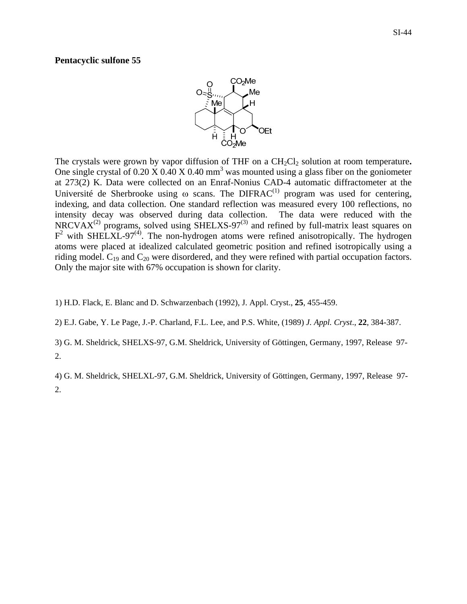### **Pentacyclic sulfone 55**



The crystals were grown by vapor diffusion of THF on a CH<sub>2</sub>Cl<sub>2</sub> solution at room temperature. One single crystal of 0.20 X 0.40  $\text{X}$  0.40 mm<sup>3</sup> was mounted using a glass fiber on the goniometer at 273(2) K. Data were collected on an Enraf-Nonius CAD-4 automatic diffractometer at the Université de Sherbrooke using  $\omega$  scans. The DIFRAC<sup>(1)</sup> program was used for centering, indexing, and data collection. One standard reflection was measured every 100 reflections, no intensity decay was observed during data collection. The data were reduced with the NRCVAX<sup>(2)</sup> programs, solved using SHELXS-97<sup>(3)</sup> and refined by full-matrix least squares on  $F<sup>2</sup>$  with SHELXL-97<sup>(4)</sup>. The non-hydrogen atoms were refined anisotropically. The hydrogen atoms were placed at idealized calculated geometric position and refined isotropically using a riding model.  $C_{19}$  and  $C_{20}$  were disordered, and they were refined with partial occupation factors. Only the major site with 67% occupation is shown for clarity.

1) H.D. Flack, E. Blanc and D. Schwarzenbach (1992), J. Appl. Cryst., **25**, 455-459.

2) E.J. Gabe, Y. Le Page, J.-P. Charland, F.L. Lee, and P.S. White, (1989) *J. Appl. Cryst*., **22**, 384-387.

3) G. M. Sheldrick, SHELXS-97, G.M. Sheldrick, University of Göttingen, Germany, 1997, Release 97- 2.

4) G. M. Sheldrick, SHELXL-97, G.M. Sheldrick, University of Göttingen, Germany, 1997, Release 97- 2.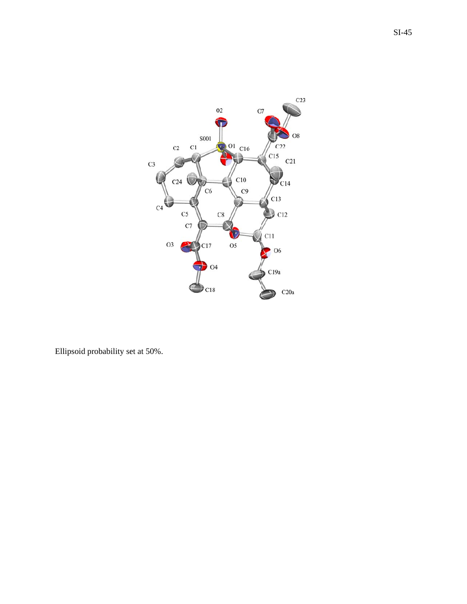

Ellipsoid probability set at 50%.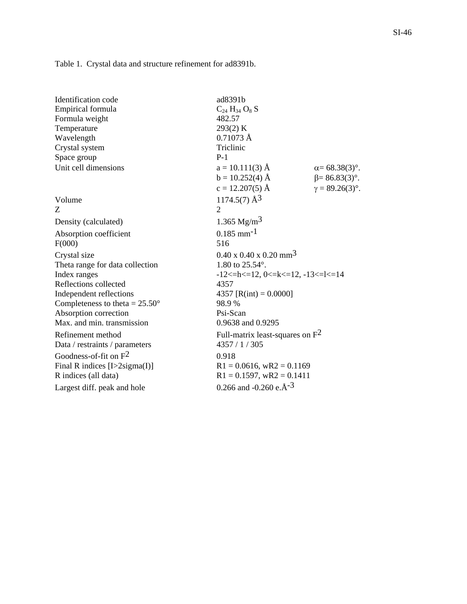Table 1. Crystal data and structure refinement for ad8391b.

| Identification code<br>Empirical formula<br>Formula weight<br>Temperature<br>Wavelength<br>Crystal system<br>Space group<br>Unit cell dimensions                                                                      | ad8391b<br>$C_{24} H_{34} O_8 S$<br>482.57<br>293(2) K<br>$0.71073 \text{ Å}$<br>Triclinic<br>$P-1$<br>$a = 10.111(3)$ Å                                                                             | $\alpha = 68.38(3)$ °.                          |
|-----------------------------------------------------------------------------------------------------------------------------------------------------------------------------------------------------------------------|------------------------------------------------------------------------------------------------------------------------------------------------------------------------------------------------------|-------------------------------------------------|
|                                                                                                                                                                                                                       | $b = 10.252(4)$ Å<br>$c = 12.207(5)$ Å                                                                                                                                                               | $\beta = 86.83(3)$ °.<br>$\gamma = 89.26(3)$ °. |
| Volume<br>Ζ                                                                                                                                                                                                           | 1174.5(7) $\AA$ <sup>3</sup><br>$\overline{2}$                                                                                                                                                       |                                                 |
| Density (calculated)                                                                                                                                                                                                  | 1.365 Mg/m <sup>3</sup>                                                                                                                                                                              |                                                 |
| Absorption coefficient<br>F(000)                                                                                                                                                                                      | $0.185$ mm <sup>-1</sup><br>516                                                                                                                                                                      |                                                 |
| Crystal size<br>Theta range for data collection<br>Index ranges<br>Reflections collected<br>Independent reflections<br>Completeness to theta = $25.50^{\circ}$<br>Absorption correction<br>Max. and min. transmission | $0.40 \times 0.40 \times 0.20$ mm <sup>3</sup><br>1.80 to 25.54°.<br>$-12$ < = h < = 12, 0 < = k < = 12, $-13$ < = 14<br>4357<br>4357 [R(int) = $0.0000$ ]<br>98.9%<br>Psi-Scan<br>0.9638 and 0.9295 |                                                 |
| Refinement method<br>Data / restraints / parameters                                                                                                                                                                   | Full-matrix least-squares on $F^2$<br>4357 / 1 / 305                                                                                                                                                 |                                                 |
| Goodness-of-fit on $F^2$<br>Final R indices [I>2sigma(I)]<br>R indices (all data)<br>Largest diff. peak and hole                                                                                                      | 0.918<br>$R1 = 0.0616$ , wR2 = 0.1169<br>$R1 = 0.1597$ , wR2 = 0.1411<br>0.266 and -0.260 e. $\AA$ <sup>-3</sup>                                                                                     |                                                 |
|                                                                                                                                                                                                                       |                                                                                                                                                                                                      |                                                 |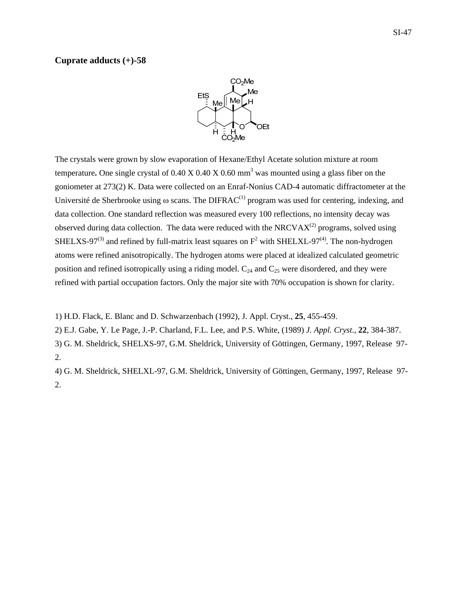### **Cuprate adducts (+)-58**



The crystals were grown by slow evaporation of Hexane/Ethyl Acetate solution mixture at room temperature. One single crystal of  $0.40 \text{ X}$   $0.40 \text{ X}$   $0.60 \text{ mm}^3$  was mounted using a glass fiber on the goniometer at 273(2) K. Data were collected on an Enraf-Nonius CAD-4 automatic diffractometer at the Université de Sherbrooke using  $\omega$  scans. The DIFRAC<sup>(1)</sup> program was used for centering, indexing, and data collection. One standard reflection was measured every 100 reflections, no intensity decay was observed during data collection. The data were reduced with the NRCVA $X^{(2)}$  programs, solved using SHELXS-97<sup>(3)</sup> and refined by full-matrix least squares on  $F^2$  with SHELXL-97<sup>(4)</sup>. The non-hydrogen atoms were refined anisotropically. The hydrogen atoms were placed at idealized calculated geometric position and refined isotropically using a riding model.  $C_{24}$  and  $C_{25}$  were disordered, and they were refined with partial occupation factors. Only the major site with 70% occupation is shown for clarity.

1) H.D. Flack, E. Blanc and D. Schwarzenbach (1992), J. Appl. Cryst., **25**, 455-459.

2) E.J. Gabe, Y. Le Page, J.-P. Charland, F.L. Lee, and P.S. White, (1989) *J. Appl. Cryst*., **22**, 384-387.

3) G. M. Sheldrick, SHELXS-97, G.M. Sheldrick, University of Göttingen, Germany, 1997, Release 97- 2.

4) G. M. Sheldrick, SHELXL-97, G.M. Sheldrick, University of Göttingen, Germany, 1997, Release 97- 2.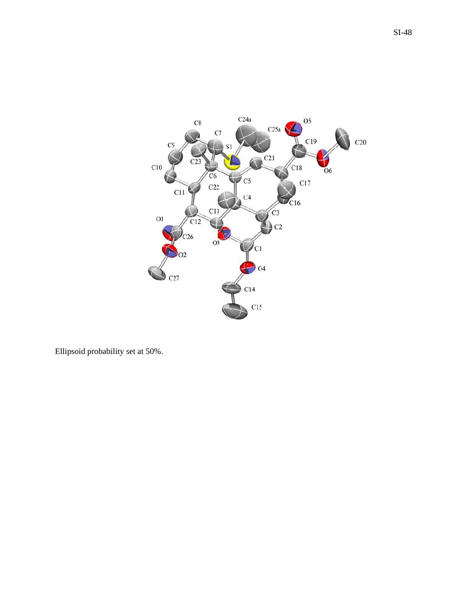

Ellipsoid probability set at 50%.